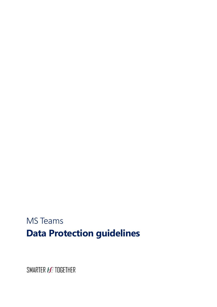# MS Teams **Data Protection guidelines**

SMARTER **HE** TOGETHER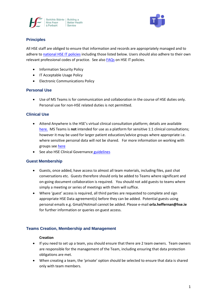



# **Principles**

All HSE staff are obliged to ensure that information and records are appropriately managed and to adhere to [national HSE IT policies](https://www.hse.ie/eng/services/publications/pp/ict/) including those listed below. Users should also adhere to their own relevant professional codes of practice. See als[o FAQs](http://hsenet.hse.ie/OoCIO/Service_Management/PoliciesProcedures/Policies/HSE_I_T_Policies_FAQ.pdf) on HSE IT policies.

- Information Security Policy
- IT Acceptable Usage Policy
- Electronic Communications Policy

# **Personal Use**

Use of MS Teams is for communication and collaboration in the course of HSE duties only. Personal use for non-HSE related duties is not permitted.

# **Clinical Use**

- Attend Anywhere is the HSE's virtual clinical consultation platform; details are available [here.](https://healthservice.hse.ie/staff/coronavirus/working-from-home/virtual-health/attend-anywhere-healthcare-provider-video-consultations.html) MS Teams is **not** intended for use as a platform for sensitive 1:1 clinical consultations; however it may be used for larger patient education/advice groups where appropriate i.e. where sensitive personal data will not be shared. For more information on working with groups see [here](https://www.ehealthireland.ie/MS-Teams-for-HSE-Staff/Support-and-Resources/)
- See also HSE Clinical Governance [guidelines](https://healthservice.hse.ie/filelibrary/staff/clinical-telehealth-governance-guidance.pdf)

## **Guest Membership**

- Guests, once added, have access to almost all team materials, including files, past chat conversations etc. Guests therefore should only be added to Teams where significant and on-going document collaboration is required. You should not add guests to teams where simply a meeting or series of meetings with them will suffice.
- Where 'guest' access is required, all third parties are requested to complete and sign appropriate HSE Data agreement(s) before they can be added. Potential guests using personal emails e.g. Gmail/Hotmail cannot be added. Please e-mail **orla.heffernan@hse.ie** for further information or queries on guest access.

## **Teams Creation, Membership and Management**

#### **Creation**

- If you need to set up a team, you should ensure that there are 2 team owners. Team owners are responsible for the management of the Team, including ensuring that data protection obligations are met.
- When creating a team, the 'private' option should be selected to ensure that data is shared only with team members.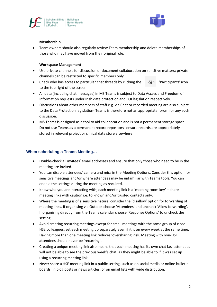



#### **Membership**

• Team owners should also regularly review Team membership and delete memberships of those who may have moved from their original role.

#### **Workspace Management**

- Use private channels for discussion or document collaboration on sensitive matters; private channels can be restricted to specific members only.
- Check who has access to particular chat threads by clicking the  $\frac{26}{6}$  3 'Participants' icon to the top right of the screen
- All data (including chat messages) in MS Teams is subject to Data Access and Freedom of Information requests under Irish data protection and FOI legislation respectively.
- Discussions about other members of staff e.g. via Chat or recorded meeting are also subject to the Data Protection legislation- Teams is therefore not an appropriate forum for any such discussion.
- MS Teams is designed as a tool to aid collaboration and is not a permanent storage space. Do not use Teams as a permanent record repository- ensure records are appropriately stored in relevant project or clinical data store elsewhere.

# **When scheduling a Teams Meeting…**

- Double-check all invitees' email addresses and ensure that only those who need to be in the meeting are invited.
- You can disable attendees' camera and mics in the Meeting Options. Consider this option for sensitive meetings and/or where attendees may be unfamiliar with Teams tools. You can enable the settings during the meeting as required.
- Know who you are interacting with; each meeting link is a 'meeting room key' share meeting links with caution i.e. to known and/or trusted contacts only.
- Where the meeting is of a sensitive nature, consider the 'disallow' option for forwarding of meeting links. If organising via Outlook choose 'Attendees' and uncheck 'Allow forwarding'. If organising directly from the Teams calendar choose 'Response Options' to uncheck the setting.
- Avoid creating recurring meetings except for small meetings with the same group of close HSE colleagues; set each meeting up separately even if it is on every week at the same time. Having more than one meeting link reduces 'oversharing' risk. Meeting with non-HSE attendees should never be 'recurring'.
- Creating a unique meeting link also means that each meeting has its own chat i.e. attendees will not be able to see the previous week's chat, as they might be able to if it was set up using a recurring meeting link.
- Never share a HSE meeting link in a public setting, such as on social media or online bulletin boards, in blog posts or news articles, or on email lists with wide distribution.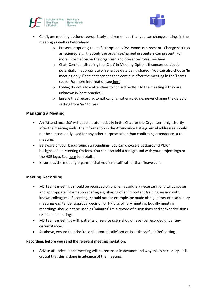



- Configure meeting options appropriately and remember that you can change settings in the meeting as well as beforehand:
	- $\circ$  Presenter options; the default option is 'everyone' can present. Change settings as required e.g. that only the organiser/named presenters can present. For more information on the organiser and presenter roles, see [here](https://www.ehealthireland.ie/MS-Teams-for-HSE-Staff/Organiser-and-Presenter-Roles.pdf)
	- o Chat; Consider disabling the 'Chat' in Meeting Options if concerned about potentially inappropriate or sensitive data being shared. You can also choose 'In meeting only' Chat; chat cannot then continue after the meeting in the Teams space. For more information see [here](https://www.ehealthireland.ie/MS-Teams-for-HSE-Staff/Top-Tips/)
	- o Lobby; do not allow attendees to come directly into the meeting if they are unknown (where practical).
	- o Ensure that 'record automatically' is not enabled i.e. never change the default setting from 'no' to 'yes'

# **Managing a Meeting**

- An 'Attendance List' will appear automatically in the Chat for the Organiser (only) shortly after the meeting ends. The information in the Attendance List e.g. email addresses should not be subsequently used for any other purpose other than confirming attendance at the meeting.
- Be aware of your background surroundings; you can choose a background /'blur background' in Meeting Options. You can also add a background with your project logo or the HSE logo. See [here](https://www.ehealthireland.ie/MS-teams-for-HSE-Staff/Create-a-background.pdf) for details.
- Ensure, as the meeting organiser that you 'end call' rather than 'leave call'.

## **Meeting Recording**

- MS Teams meetings should be recorded only when absolutely necessary for vital purposes and appropriate information sharing e.g. sharing of an important training session with known colleagues. Recordings should not for example, be made of regulatory or disciplinary meetings e.g. tender approval decision or HR disciplinary meeting. Equally meeting recordings should not be used as 'minutes' i.e. a record of discussions had and/or decisions reached in meetings.
- MS Teams meetings with patients or service users should never be recorded under any circumstances.
- As above, ensure that the 'record automatically' option is at the default 'no' setting.

#### **Recording; before you send the relevant meeting invitation:**

• Advise attendees if the meeting will be recorded in advance and why this is necessary. It is crucial that this is done **in advance** of the meeting.